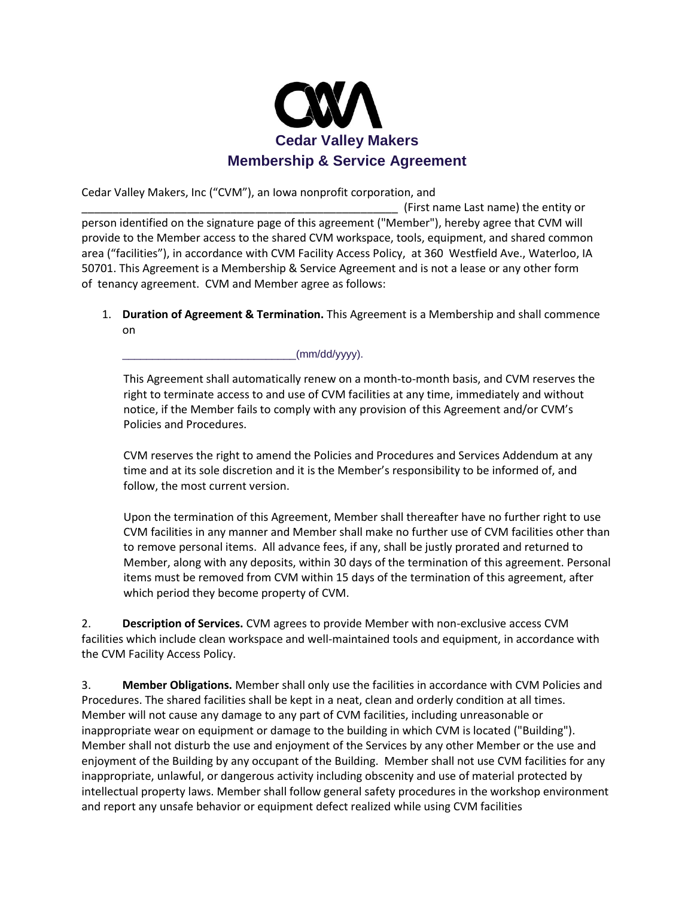

Cedar Valley Makers, Inc ("CVM"), an Iowa nonprofit corporation, and

\_\_\_\_\_\_\_\_\_\_\_\_\_\_\_\_\_\_\_\_\_\_\_\_\_\_\_\_\_\_\_\_\_\_\_\_\_\_\_\_\_\_\_\_\_\_\_\_\_\_\_ (First name Last name) the entity or person identified on the signature page of this agreement ("Member"), hereby agree that CVM will provide to the Member access to the shared CVM workspace, tools, equipment, and shared common area ("facilities"), in accordance with CVM Facility Access Policy, at 360 Westfield Ave., Waterloo, IA 50701. This Agreement is a Membership & Service Agreement and is not a lease or any other form of tenancy agreement. CVM and Member agree as follows:

1. **Duration of Agreement & Termination.** This Agreement is a Membership and shall commence on

\_\_\_\_\_\_\_\_\_\_\_\_\_\_\_\_\_\_\_\_\_\_\_\_\_\_\_\_\_(mm/dd/yyyy).

This Agreement shall automatically renew on a month-to-month basis, and CVM reserves the right to terminate access to and use of CVM facilities at any time, immediately and without notice, if the Member fails to comply with any provision of this Agreement and/or CVM's Policies and Procedures.

CVM reserves the right to amend the Policies and Procedures and Services Addendum at any time and at its sole discretion and it is the Member's responsibility to be informed of, and follow, the most current version.

Upon the termination of this Agreement, Member shall thereafter have no further right to use CVM facilities in any manner and Member shall make no further use of CVM facilities other than to remove personal items. All advance fees, if any, shall be justly prorated and returned to Member, along with any deposits, within 30 days of the termination of this agreement. Personal items must be removed from CVM within 15 days of the termination of this agreement, after which period they become property of CVM.

2. **Description of Services.** CVM agrees to provide Member with non-exclusive access CVM facilities which include clean workspace and well-maintained tools and equipment, in accordance with the CVM Facility Access Policy.

3. **Member Obligations.** Member shall only use the facilities in accordance with CVM Policies and Procedures. The shared facilities shall be kept in a neat, clean and orderly condition at all times. Member will not cause any damage to any part of CVM facilities, including unreasonable or inappropriate wear on equipment or damage to the building in which CVM is located ("Building"). Member shall not disturb the use and enjoyment of the Services by any other Member or the use and enjoyment of the Building by any occupant of the Building. Member shall not use CVM facilities for any inappropriate, unlawful, or dangerous activity including obscenity and use of material protected by intellectual property laws. Member shall follow general safety procedures in the workshop environment and report any unsafe behavior or equipment defect realized while using CVM facilities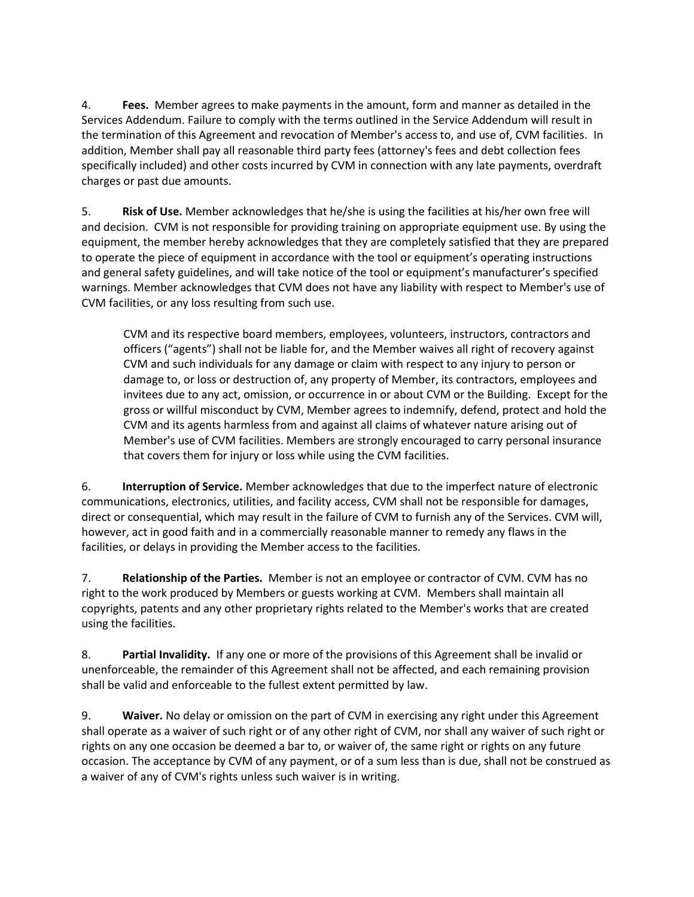4. **Fees.** Member agrees to make payments in the amount, form and manner as detailed in the Services Addendum. Failure to comply with the terms outlined in the Service Addendum will result in the termination of this Agreement and revocation of Member's access to, and use of, CVM facilities. In addition, Member shall pay all reasonable third party fees (attorney's fees and debt collection fees specifically included) and other costs incurred by CVM in connection with any late payments, overdraft charges or past due amounts.

5. **Risk of Use.** Member acknowledges that he/she is using the facilities at his/her own free will and decision. CVM is not responsible for providing training on appropriate equipment use. By using the equipment, the member hereby acknowledges that they are completely satisfied that they are prepared to operate the piece of equipment in accordance with the tool or equipment's operating instructions and general safety guidelines, and will take notice of the tool or equipment's manufacturer's specified warnings. Member acknowledges that CVM does not have any liability with respect to Member's use of CVM facilities, or any loss resulting from such use.

CVM and its respective board members, employees, volunteers, instructors, contractors and officers ("agents") shall not be liable for, and the Member waives all right of recovery against CVM and such individuals for any damage or claim with respect to any injury to person or damage to, or loss or destruction of, any property of Member, its contractors, employees and invitees due to any act, omission, or occurrence in or about CVM or the Building. Except for the gross or willful misconduct by CVM, Member agrees to indemnify, defend, protect and hold the CVM and its agents harmless from and against all claims of whatever nature arising out of Member's use of CVM facilities. Members are strongly encouraged to carry personal insurance that covers them for injury or loss while using the CVM facilities.

6. **Interruption of Service.** Member acknowledges that due to the imperfect nature of electronic communications, electronics, utilities, and facility access, CVM shall not be responsible for damages, direct or consequential, which may result in the failure of CVM to furnish any of the Services. CVM will, however, act in good faith and in a commercially reasonable manner to remedy any flaws in the facilities, or delays in providing the Member access to the facilities.

7. **Relationship of the Parties.** Member is not an employee or contractor of CVM. CVM has no right to the work produced by Members or guests working at CVM. Members shall maintain all copyrights, patents and any other proprietary rights related to the Member's works that are created using the facilities.

8. **Partial Invalidity.** If any one or more of the provisions of this Agreement shall be invalid or unenforceable, the remainder of this Agreement shall not be affected, and each remaining provision shall be valid and enforceable to the fullest extent permitted by law.

9. **Waiver.** No delay or omission on the part of CVM in exercising any right under this Agreement shall operate as a waiver of such right or of any other right of CVM, nor shall any waiver of such right or rights on any one occasion be deemed a bar to, or waiver of, the same right or rights on any future occasion. The acceptance by CVM of any payment, or of a sum less than is due, shall not be construed as a waiver of any of CVM's rights unless such waiver is in writing.